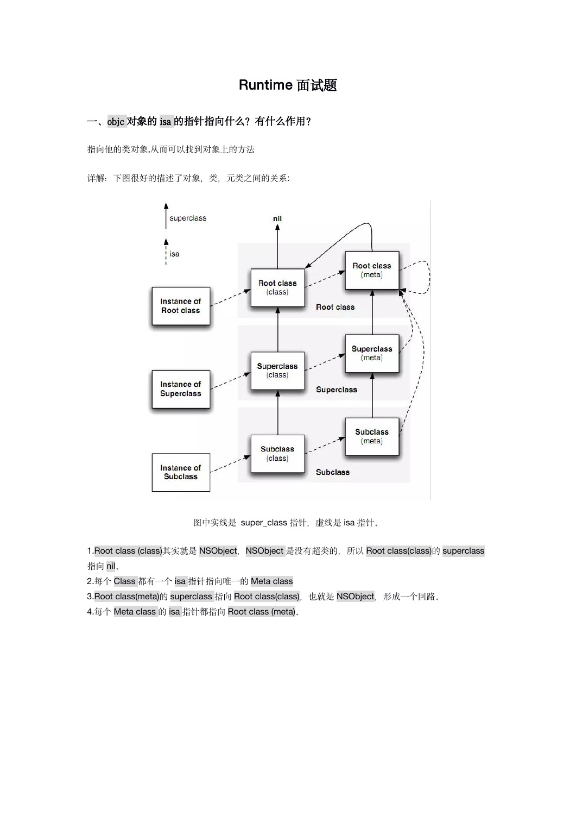# Runtime 面试题

# 一、objc 对象的 isa 的指针指向什么?有什么作用?

指向他的类对象,从而可以找到对象上的方法

详解: 下图很好的描述了对象,类,元类之间的关系:



图中实线是 super\_class 指针,虚线是 isa 指针。

1.Root class (class)其实就是 NSObject, NSObject 是没有超类的, 所以 Root class(class)的 superclass 指向 nil。

2.每个 Class 都有一个 isa 指针指向唯一的 Meta class

3.Root class(meta)的 superclass 指向 Root class(class), 也就是 NSObject, 形成一个回路。

4.每个 Meta class 的 isa 指针都指向 Root class (meta)。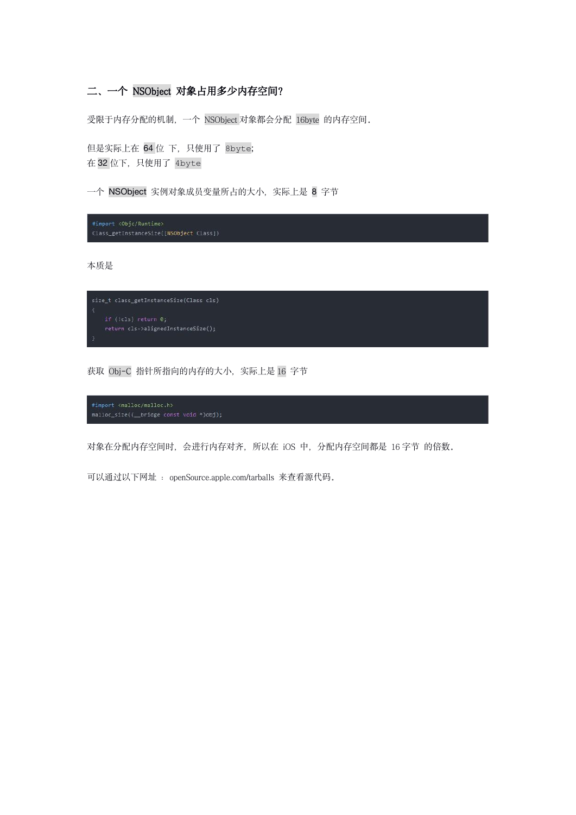# 二、一个 NSObject 对象占用多少内存空间?

受限于内存分配的机制,一个 NSObject 对象都会分配 16byte 的内存空间。

但是实际上在 64 位 下,只使用了 8byte; 在 32 位下, 只使用了 4byte

一个 NSObject 实例对象成员变量所占的大小, 实际上是 8 字节

#import <Objc/Runtime> Class\_getInstanceSize([NSObject Class])

本质是

```
size_t class_getInstanceSize(Class cls)
```
获取 Obj-C 指针所指向的内存的大小, 实际上是 16 字节

对象在分配内存空间时,会进行内存对齐,所以在 iOS 中,分配内存空间都是 16 字节 的倍数。

可以通过以下网址 : openSource.apple.com/tarballs 来查看源代码。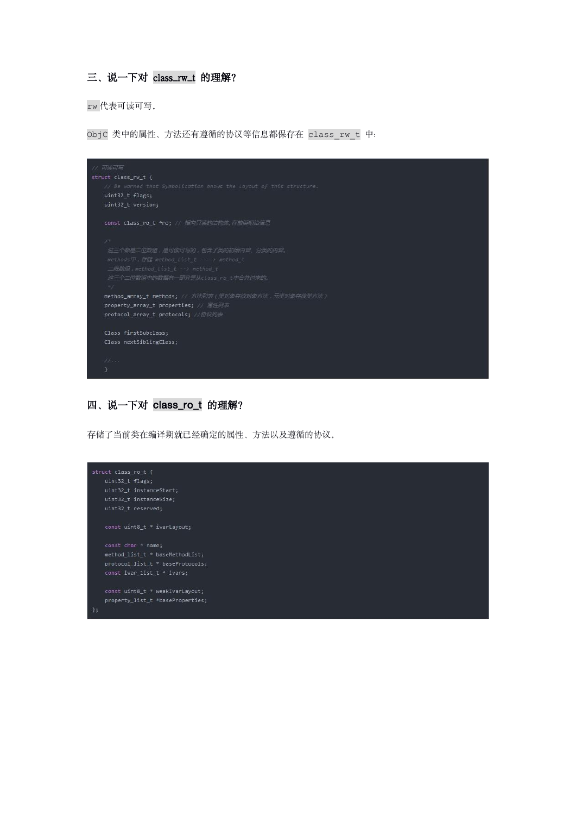# 三、说一下对 class\_rw\_t 的理解?

rw 代表可读可写。

ObjC 类中的属性、方法还有遵循的协议等信息都保存在 class\_rw\_t 中:



### 四、说一下对 class\_ro\_t 的理解?

存储了当前类在编译期就已经确定的属性、方法以及遵循的协议。

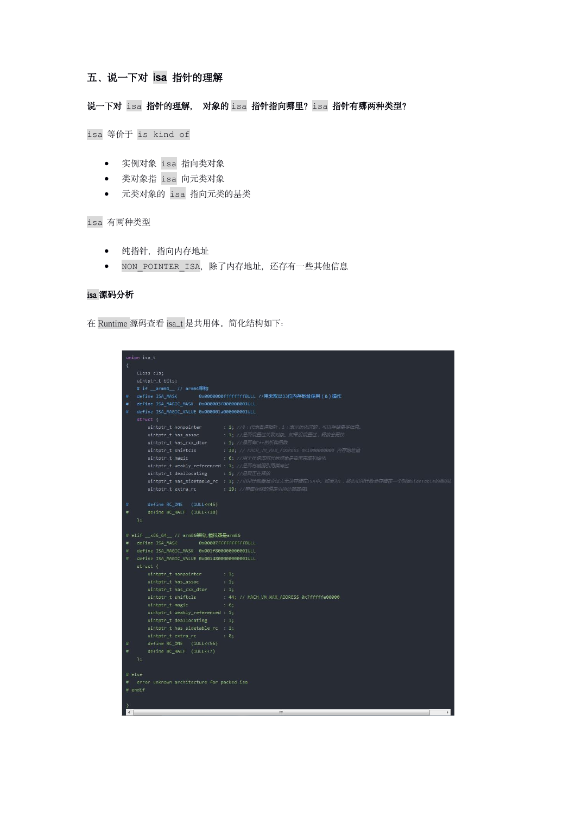# 五、说一下对 isa 指针的理解

### 说一下对 isa 指针的理解, 对象的 isa 指针指向哪里? isa 指针有哪两种类型?

isa 等价于 is kind of

- 实例对象 isa 指向类对象
- 类对象指 isa 向元类对象
- 元类对象的 isa 指向元类的基类

isa 有两种类型

- 纯指针,指向内存地址
- NON POINTER ISA, 除了内存地址, 还存有一些其他信息

#### isa 源码分析

在 Runtime 源码查看 isa\_t 是共用体。简化结构如下:

|                                                   | union isa t                                   |                                                                                         |  |  |
|---------------------------------------------------|-----------------------------------------------|-----------------------------------------------------------------------------------------|--|--|
| $\left\{ \right.$                                 |                                               |                                                                                         |  |  |
|                                                   | Class cls;                                    |                                                                                         |  |  |
|                                                   | uintptr t bits;                               |                                                                                         |  |  |
|                                                   | # if __ arm64 __ // arm64架构                   |                                                                                         |  |  |
| #                                                 |                                               | define ISA MASK     0x0000000ffffffff8ULL //用来取出33位内存地址使用(&)操作                          |  |  |
| #                                                 | define ISA_MAGIC_MASK 0x000003f0000000001ULL  |                                                                                         |  |  |
| #                                                 | define ISA_MAGIC_VALUE 0x000001a000000001ULL  |                                                                                         |  |  |
|                                                   | struct f                                      |                                                                                         |  |  |
|                                                   |                                               | uintptr_t nonpointer : 1; //0:代表普遍指针, 1:表示优化过的, 可以存储更多信息,                               |  |  |
|                                                   | uintptr_t has_assoc                           | : 1; //是否设置过关联对象, 如果没设置过, 释放会更快                                                         |  |  |
|                                                   | uintptr_t has_cxx_dtor                        | : 1; //是否有C++的析构函数                                                                      |  |  |
|                                                   | uintptr_t shiftcls                            | : 33; // MACH_VM_MAX_ADDRESS 0x1000000000 内存地址值                                         |  |  |
|                                                   |                                               | uintptr_t magic : 6; //用于在调试时分辨对象是否未完成初始化                                               |  |  |
|                                                   | uintptr_t weakly_referenced : 1; //是否有被弱引用指向过 |                                                                                         |  |  |
|                                                   | uintptr_t deallocating : 1; //是否正在释放          |                                                                                         |  |  |
|                                                   |                                               | uintptr_t has_sidetable_rc : 1; //引用计数器是否过大无法存储在ISA中, 如果为I, 那么引用计数会存储在一个叫做SideTable的类的。 |  |  |
|                                                   |                                               | uintptr_t extra_rc : 19; //里面存储的值是引用计数器减1                                               |  |  |
| ÷.                                                | define RC_ONE (1ULL<<45)                      |                                                                                         |  |  |
| $\#$                                              | define RC_HALF (1ULL<<18)                     |                                                                                         |  |  |
|                                                   | $\mathcal{H}$                                 |                                                                                         |  |  |
|                                                   |                                               |                                                                                         |  |  |
|                                                   | # elif _x86_64_ // arm86架构,模拟器是arm86          |                                                                                         |  |  |
| Ħ.                                                |                                               |                                                                                         |  |  |
| define ISA_MAGIC_MASK 0x001f800000000001ULL<br>#  |                                               |                                                                                         |  |  |
| define ISA_MAGIC_VALUE 0x001d800000000001ULL<br># |                                               |                                                                                         |  |  |
|                                                   | struct f                                      |                                                                                         |  |  |
|                                                   | uintptr_t nonpointer                          | 111                                                                                     |  |  |
|                                                   | uintptr_t has_assoc                           | $\therefore$ 1;                                                                         |  |  |
|                                                   | uintptr_t has_cxx_dtor                        | $\therefore$ 1;                                                                         |  |  |
|                                                   | uintptr_t shiftcls _____                      | : 44; // MACH_VM_MAX_ADDRESS 0x7fffffe00000                                             |  |  |
|                                                   | uintptr_t magic                               | : 6:                                                                                    |  |  |
|                                                   | uintptr_t weakly_referenced : 1;              |                                                                                         |  |  |
|                                                   | $uintptr_t$ deallocating : 1;                 |                                                                                         |  |  |
|                                                   | uintptr_t has_sidetable_rc : 1;               |                                                                                         |  |  |
|                                                   | uintptr_t_extra_rc = 1 8;                     |                                                                                         |  |  |
| $\#$                                              | define RC_ONE (1ULL<<56)                      |                                                                                         |  |  |
| $\pm$                                             | define RC_HALF (1ULL<<7)                      |                                                                                         |  |  |
|                                                   | $\mathcal{Y}$                                 |                                                                                         |  |  |
|                                                   |                                               |                                                                                         |  |  |
| # else                                            |                                               |                                                                                         |  |  |
| # error unknown architecture for packed isa       |                                               |                                                                                         |  |  |
| # endif                                           |                                               |                                                                                         |  |  |
|                                                   |                                               |                                                                                         |  |  |
| $\leftarrow$                                      |                                               | $\mathbb F$<br>m                                                                        |  |  |
|                                                   |                                               |                                                                                         |  |  |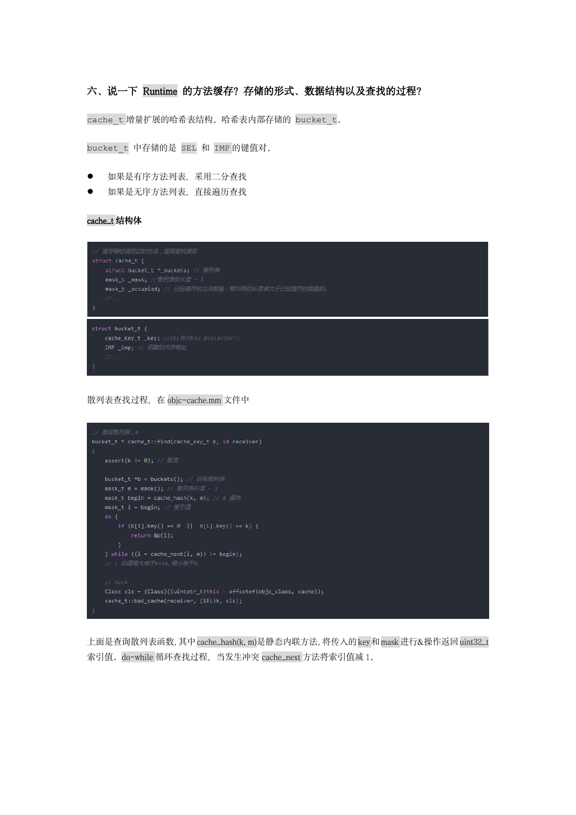# 六、说一下 Runtime 的方法缓存?存储的形式、数据结构以及查找的过程?

cache t 增量扩展的哈希表结构。哈希表内部存储的 bucket t.

bucket\_t 中存储的是 SEL 和 IMP 的键值对。

- 如果是有序方法列表,采用二分查找
- 如果是无序方法列表,直接遍历查找

cache\_t 结构体



散列表查找过程,在 objc-cache.mm 文件中



上面是查询散列表函数,其中cache\_hash(k, m)是静态内联方法,将传入的key和mask进行&操作返回uint32\_t 索引值。do-while 循环查找过程,当发生冲突 cache\_next 方法将索引值减 1。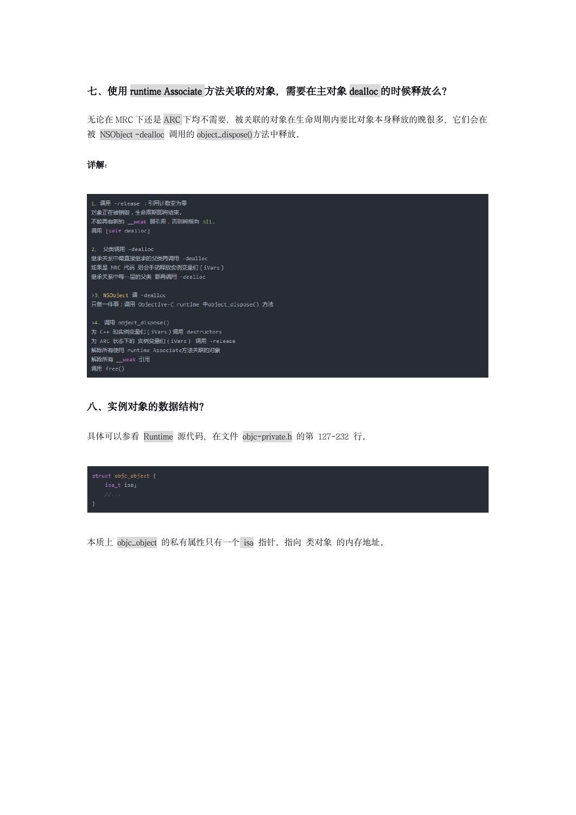# 七、使用 runtime Associate 方法关联的对象, 需要在主对象 dealloc 的时候释放么?

无论在 MRC 下还是 ARC 下均不需要, 被关联的对象在生命周期内要比对象本身释放的晚很多, 它们会在 被 NSObject -dealloc 调用的 object\_dispose()方法中释放。

### **详解: with the contract of the contract of the contract of the contract of the contract of the contract of the c**



# 八、实例对象的数据结构?

具体可以参看 Runtime 源代码, 在文件 objc-private.h 的第 127-232 行。



本质上 objc\_object 的私有属性只有一个 isa 指针。指向 类对象 的内存地址。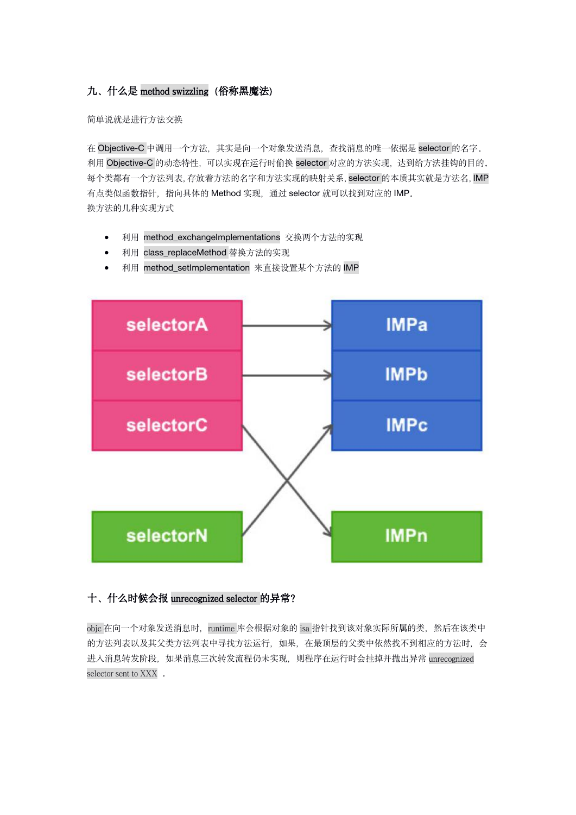# 九、什么是 method swizzling (俗称黑魔法)

简单说就是进行方法交换

在 Objective-C 中调用一个方法,其实是向一个对象发送消息,查找消息的唯一依据是 selector 的名字。 利用 Objective-C 的动态特性, 可以实现在运行时偷换 selector 对应的方法实现, 达到给方法挂钩的目的。 每个类都有一个方法列表,存放着方法的名字和方法实现的映射关系,selector 的本质其实就是方法名,IMP 有点类似函数指针,指向具体的 Method 实现, 通过 selector 就可以找到对应的 IMP。 换方法的几种实现方式

- 利用 method\_exchangeImplementations 交换两个方法的实现
- 利用 class\_replaceMethod 替换方法的实现
- 利用 method\_setImplementation 来直接设置某个方法的 IMP



# 十、什么时候会报 unrecognized selector 的异常?

objc 在向一个对象发送消息时, runtime 库会根据对象的 isa 指针找到该对象实际所属的类, 然后在该类中 的方法列表以及其父类方法列表中寻找方法运行,如果,在最顶层的父类中依然找不到相应的方法时,会 进入消息转发阶段,如果消息三次转发流程仍未实现,则程序在运行时会挂掉并抛出异常 unrecognized selector sent to XXX 。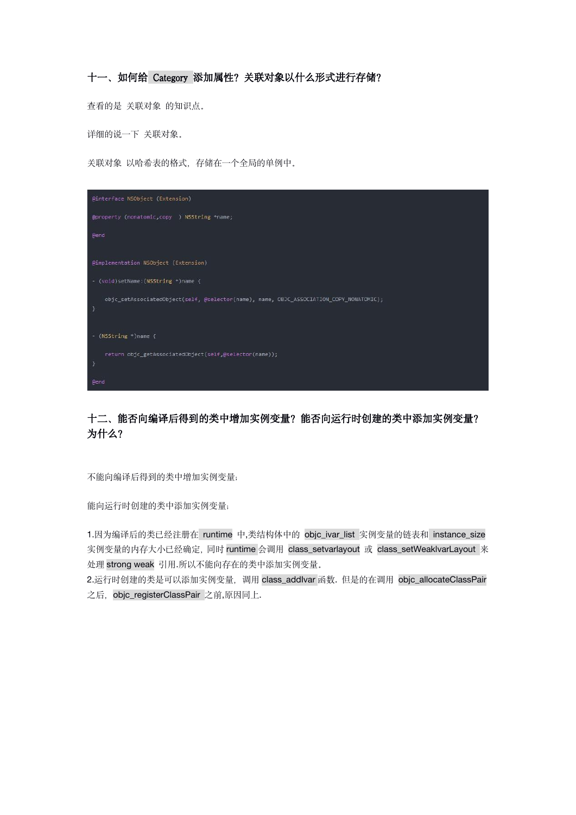# 十一、如何给 Category 添加属性?关联对象以什么形式进行存储?

查看的是 关联对象 的知识点。

详细的说一下 关联对象。

关联对象 以哈希表的格式,存储在一个全局的单例中。



# 十二、能否向编译后得到的类中增加实例变量?能否向运行时创建的类中添加实例变量? 为什么?

不能向编译后得到的类中增加实例变量;

能向运行时创建的类中添加实例变量;

1.因为编译后的类已经注册在 runtime 中,类结构体中的 objc\_ivar\_list 实例变量的链表和 instance\_size 实例变量的内存大小已经确定,同时 runtime 会调用 class\_setvarlayout 或 class\_setWeaklvarLayout 来 处理 strong weak 引用.所以不能向存在的类中添加实例变量。

2.运行时创建的类是可以添加实例变量,调用 class\_addlvar 函数. 但是的在调用 objc\_allocateClassPair 之后, objc\_registerClassPair 之前,原因同上.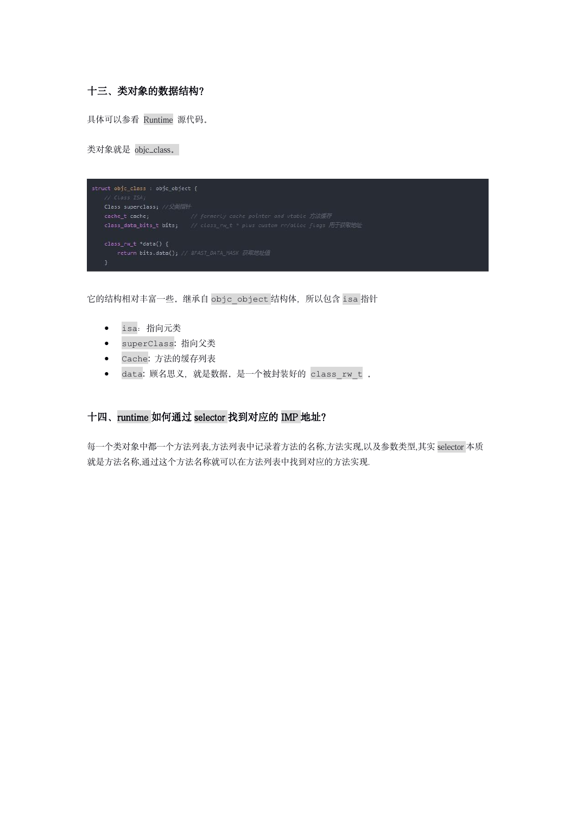# 十三、类对象的数据结构?

具体可以参看 Runtime 源代码。

类对象就是 objc\_class。



它的结构相对丰富一些。继承自 objc\_object 结构体,所以包含 isa 指针

- isa:指向元类
- superClass: 指向父类
- Cache: 方法的缓存列表
- data: 顾名思义,就是数据。是一个被封装好的 class\_rw\_t 。

### 十四、runtime 如何通过 selector 找到对应的 IMP 地址?

每一个类对象中都一个方法列表,方法列表中记录着方法的名称,方法实现,以及参数类型,其实 selector 本质 就是方法名称,通过这个方法名称就可以在方法列表中找到对应的方法实现.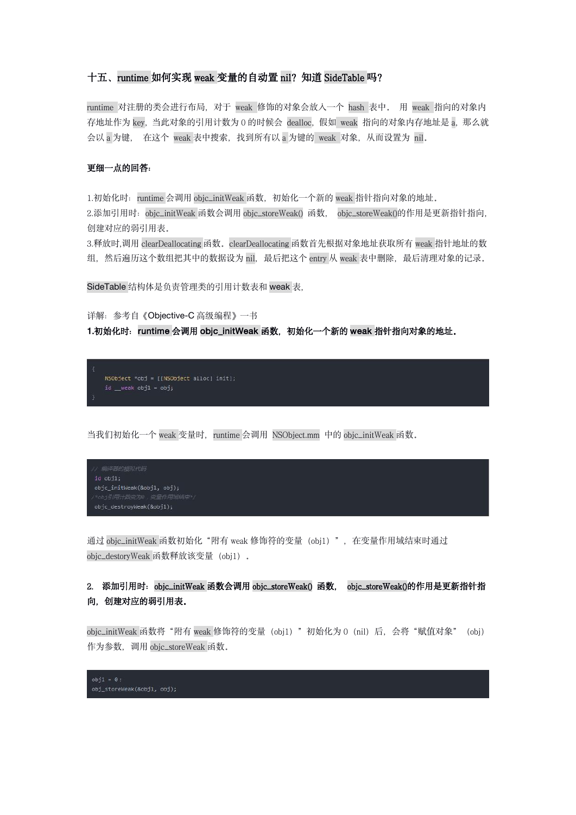#### 十五、runtime 如何实现 weak 变量的自动置 nil? 知道 SideTable 吗?

runtime 对注册的类会进行布局,对于 weak 修饰的对象会放入一个 hash 表中。 用 weak 指向的对象内 存地址作为 key, 当此对象的引用计数为 0 的时候会 dealloc, 假如 weak 指向的对象内存地址是 a, 那么就 会以 a 为键, 在这个 weak 表中搜索, 找到所有以 a 为键的 weak 对象, 从而设置为 nil.

#### 更细一点的回答:

1.初始化时: runtime 会调用 objc\_initWeak 函数, 初始化一个新的 weak 指针指向对象的地址。 2.添加引用时:objc\_initWeak 函数会调用 objc\_storeWeak() 函数, objc\_storeWeak()的作用是更新指针指向, 创建对应的弱引用表。

3.释放时,调用 clearDeallocating 函数。clearDeallocating 函数首先根据对象地址获取所有 weak 指针地址的数 组, 然后遍历这个数组把其中的数据设为 nil, 最后把这个 entry 从 weak 表中删除, 最后清理对象的记录。

SideTable 结构体是负责管理类的引用计数表和 weak 表,

详解:参考自《Objective-C 高级编程》一书

#### 1.初始化时: runtime 会调用 objc\_initWeak 函数, 初始化一个新的 weak 指针指向对象的地址。



当我们初始化一个 weak 变量时, runtime 会调用 NSObject.mm 中的 objc\_initWeak 函数。

```
objc_destroyWeak(&obj1);
```
通过 objc\_initWeak 函数初始化"附有 weak 修饰符的变量 (obj1)", 在变量作用域结束时通过 objc\_destoryWeak 函数释放该变量(obj1)。

# 2. 添加引用时: objc\_initWeak 函数会调用 objc\_storeWeak() 函数, objc\_storeWeak()的作用是更新指针指 向,创建对应的弱引用表。

objc\_initWeak 函数将"附有 weak 修饰符的变量(obj1)"初始化为 0(nil)后,会将"赋值对象"(obj) 作为参数, 调用 objc\_storeWeak 函数。

 $obj1 = 0;$  $obj\_storeWeak(\&obj1, obj);$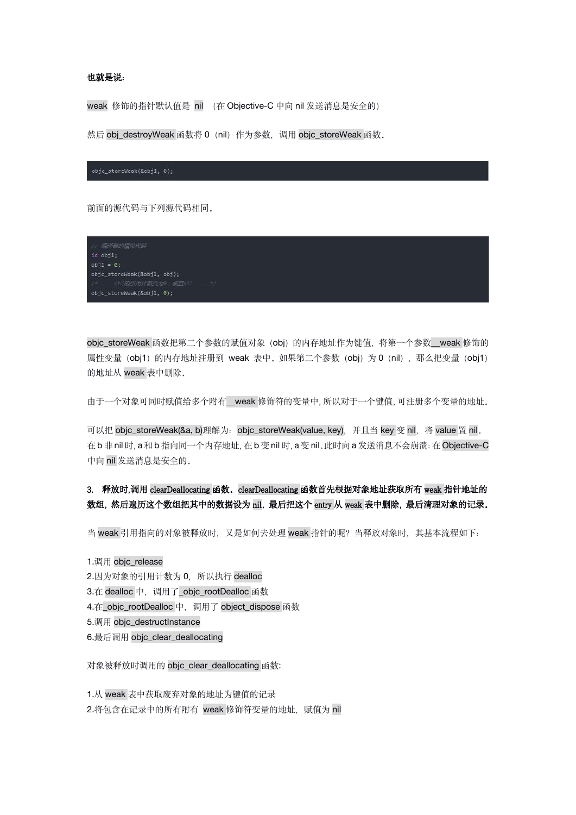#### 也就是说:

weak 修饰的指针默认值是 nil (在 Objective-C 中向 nil 发送消息是安全的)

然后 obj\_destroyWeak 函数将 0 (nil) 作为参数, 调用 objc\_storeWeak 函数。

前面的源代码与下列源代码相同。



objc\_storeWeak 函数把第二个参数的赋值对象 (obj) 的内存地址作为键值, 将第一个参数\_\_weak 修饰的 属性变量(obj1)的内存地址注册到 weak 表中。如果第二个参数(obj)为 0(nil), 那么把变量(obj1) 的地址从 weak 表中删除。

由于一个对象可同时赋值给多个附有\_\_weak 修饰符的变量中, 所以对于一个键值, 可注册多个变量的地址。

可以把 objc\_storeWeak(&a, b)理解为: objc\_storeWeak(value, key), 并且当 key 变 nil, 将 value 置 nil。 在 b 非 nil 时,a 和 b 指向同一个内存地址,在 b 变 nil 时,a 变 nil。此时向 a 发送消息不会崩溃:在 Objective-C 中向 nil 发送消息是安全的。

# 3. 释放时,调用 clearDeallocating 函数。clearDeallocating 函数首先根据对象地址获取所有 weak 指针地址的 数组,然后遍历这个数组把其中的数据设为 nil,最后把这个 entry 从 weak 表中删除,最后清理对象的记录。

当 weak 引用指向的对象被释放时,又是如何去处理 weak 指针的呢?当释放对象时,其基本流程如下:

1.调用 objc\_release 2.因为对象的引用计数为 0, 所以执行 dealloc 3.在 dealloc 中,调用了\_objc\_rootDealloc 函数 4.在\_objc\_rootDealloc 中,调用了 object\_dispose 函数 5.调用 objc\_destructInstance 6.最后调用 objc\_clear\_deallocating

对象被释放时调用的 objc\_clear\_deallocating 函数:

1.从 weak 表中获取废弃对象的地址为键值的记录 2.将包含在记录中的所有附有 weak 修饰符变量的地址, 赋值为 nil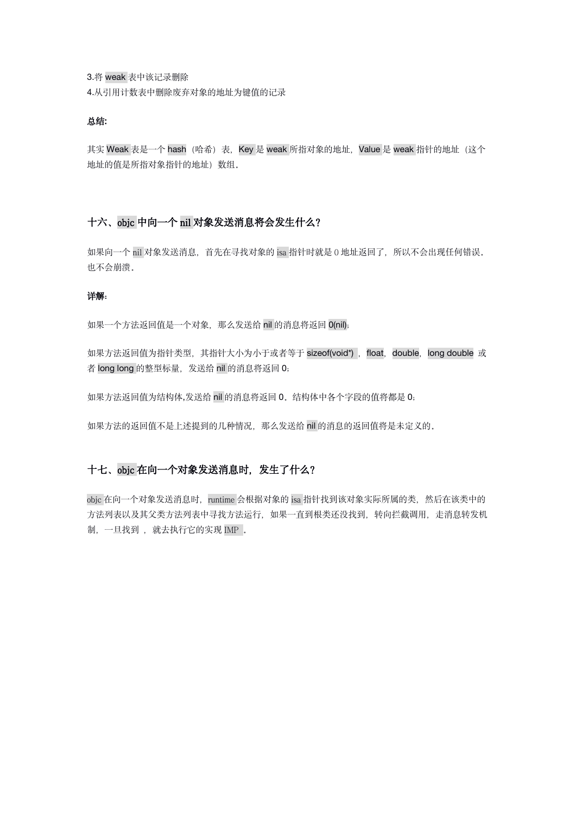3.将 weak 表中该记录删除 4.从引用计数表中删除废弃对象的地址为键值的记录

#### 总结:

其实 Weak 表是一个 hash (哈希)表, Key 是 weak 所指对象的地址, Value 是 weak 指针的地址 (这个 地址的值是所指对象指针的地址)数组。

### 十六、objc 中向一个 nil 对象发送消息将会发生什么?

如果向一个 nil 对象发送消息, 首先在寻找对象的 isa 指针时就是 0 地址返回了, 所以不会出现任何错误。 也不会崩溃。

#### 详解:

如果一个方法返回值是一个对象, 那么发送给 nil 的消息将返回 O(nil);

如果方法返回值为指针类型, 其指针大小为小于或者等于 sizeof(void\*), float, double, long double 或 者 long long 的整型标量, 发送给 nil 的消息将返回 0;

如果方法返回值为结构体,发送给 nil 的消息将返回 0。结构体中各个字段的值将都是 0;

如果方法的返回值不是上述提到的几种情况,那么发送给 nil 的消息的返回值将是未定义的。

### 十七、objc 在向一个对象发送消息时,发生了什么?

objc 在向一个对象发送消息时, runtime 会根据对象的 isa 指针找到该对象实际所属的类, 然后在该类中的 方法列表以及其父类方法列表中寻找方法运行,如果一直到根类还没找到,转向拦截调用,走消息转发机 制, 一旦找到, 就去执行它的实现 IMP.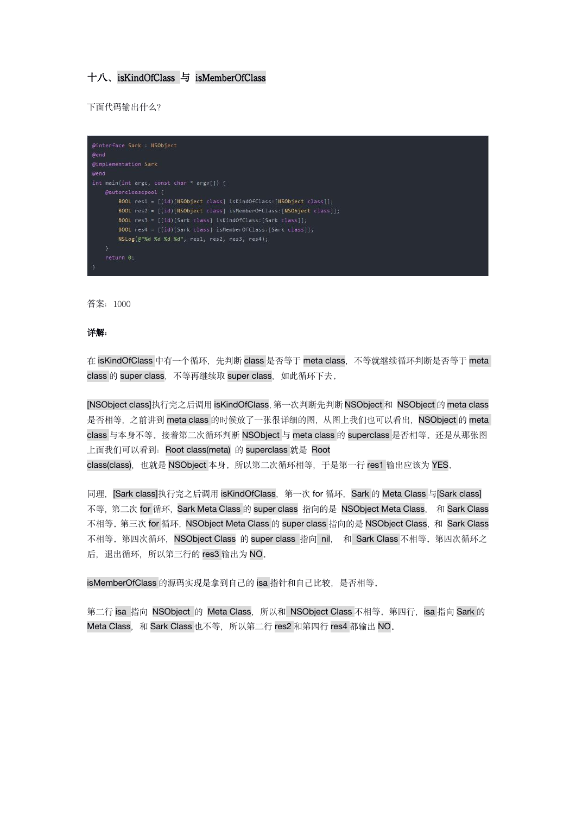### 十八、isKindOfClass 与 isMemberOfClass

下面代码输出什么?

| @interface Sark : NSObject<br><b>Dend</b>                            |
|----------------------------------------------------------------------|
|                                                                      |
| @implementation Sark                                                 |
| dend                                                                 |
| int main(int argc, const char * argy[]) {                            |
| @autoreleasepool {                                                   |
| BOOL res1 = [(id)[NSObject class] isKindOfClass:[NSObject class]];   |
| BOOL res2 = [(id)[NSObject class] isMemberOfClass:[NSObject class]]; |
| BOOL res3 = [(id) [Sark class] isKindOfClass: [Sark class]];         |
| BOOL res4 = [(id)[Sark class] isMemberOfClass:[Sark class]];         |
| NSLog(@"%d %d %d %d", res1, res2, res3, res4);                       |
| ł.                                                                   |
| return 0;                                                            |
|                                                                      |

答案:1000

#### **详解: with the contract of the contract of the contract of the contract of the contract of the contract of the c**

在 isKindOfClass 中有一个循环, 先判断 class 是否等于 meta class, 不等就继续循环判断是否等于 meta class 的 super class, 不等再继续取 super class, 如此循环下去。

[NSObject class]执行完之后调用 isKindOfClass,第一次判断先判断 NSObject 和 NSObject 的 meta class 是否相等,之前讲到 meta class 的时候放了一张很详细的图, 从图上我们也可以看出, NSObject 的 meta class 与本身不等。接着第二次循环判断 NSObject 与 meta class 的 superclass 是否相等。还是从那张图 上面我们可以看到: Root class(meta) 的 superclass 就是 Root class(class), 也就是 NSObject 本身。所以第二次循环相等, 于是第一行 res1 输出应该为 YES.

同理, [Sark class]执行完之后调用 isKindOfClass, 第一次 for 循环, Sark 的 Meta Class 与[Sark class] 不等, 第二次 for 循环, Sark Meta Class 的 super class 指向的是 NSObject Meta Class, 和 Sark Class 不相等。第三次 for 循环, NSObject Meta Class 的 super class 指向的是 NSObject Class, 和 Sark Class 不相等。第四次循环, NSObject Class 的 super class 指向 nil, 和 Sark Class 不相等。第四次循环之 后, 退出循环, 所以第三行的 res3 输出为 NO.

isMemberOfClass 的源码实现是拿到自己的 isa 指针和自己比较, 是否相等。

第二行 isa 指向 NSObject 的 Meta Class, 所以和 NSObject Class 不相等。第四行, isa 指向 Sark 的 Meta Class, 和 Sark Class 也不等, 所以第二行 res2 和第四行 res4 都输出 NO。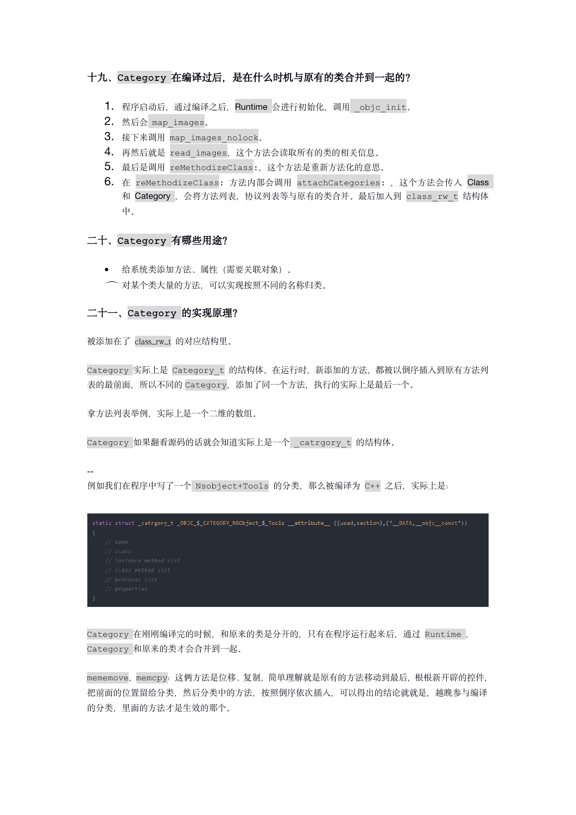### 十九、Category 在编译过后,是在什么时机与原有的类合并到一起的?

- 1. 程序启动后, 通过编译之后, Runtime 会进行初始化, 调用 objc\_init.
- 2. 然后会 map images.
- 3. 接下来调用 map\_images\_nolock.
- 4. 再然后就是 read images, 这个方法会读取所有的类的相关信息。
- 5. 最后是调用 reMethodizeClass:,这个方法是重新方法化的意思。
- 6. 在 reMethodizeClass: 方法内部会调用 attachCategories:, 这个方法会传人 Class 和 Category, 会将方法列表, 协议列表等与原有的类合并。最后加入到 class\_rw\_t 结构体 中。

#### 二十、Category 有哪些用途?

- 给系统类添加方法、属性(需要关联对象)。
- 对某个类大量的方法,可以实现按照不同的名称归类。

### 二十一、Category 的实现原理?

被添加在了 class\_rw\_t 的对应结构里。

Category 实际上是 Category\_t 的结构体, 在运行时, 新添加的方法, 都被以倒序插入到原有方法列 表的最前面,所以不同的 Category,添加了同一个方法,执行的实际上是最后一个。

拿方法列表举例,实际上是一个二维的数组。

Category 如果翻看源码的话就会知道实际上是一个 \_catrgory\_t 的结构体。

--

例如我们在程序中写了一个 Nsobject+Tools 的分类,那么被编译为 C++ 之后,实际上是:

| static struct _catrgory_t _OBJC_\$_CATEGORY_NSObject_\$_Tools __attribute__((used,section),("__DATA,__objc__const")) |  |
|----------------------------------------------------------------------------------------------------------------------|--|
|                                                                                                                      |  |
| $//$ name                                                                                                            |  |
| // class                                                                                                             |  |
| // instance method List                                                                                              |  |
| // class method List                                                                                                 |  |
| // protocol list                                                                                                     |  |
| // properties                                                                                                        |  |
|                                                                                                                      |  |

Category 在刚刚编译完的时候,和原来的类是分开的,只有在程序运行起来后,通过 Runtime , Category 和原来的类才会合并到一起。

mememove,memcpy:这俩方法是位移、复制,简单理解就是原有的方法移动到最后,根根新开辟的控件, 把前面的位置留给分类,然后分类中的方法,按照倒序依次插入,可以得出的结论就就是,越晚参与编译 的分类,里面的方法才是生效的那个。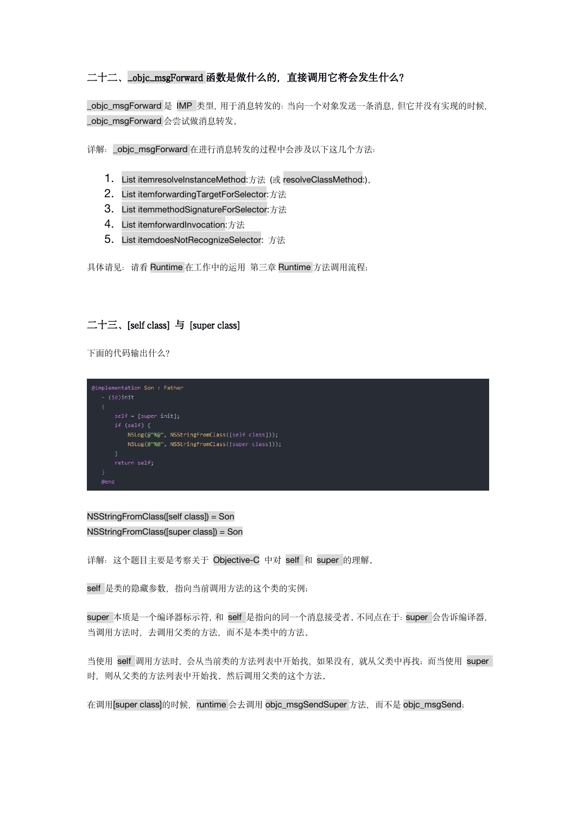## 二十二、\_objc\_msgForward 函数是做什么的,直接调用它将会发生什么?

\_objc\_msgForward 是 IMP 类型,用于消息转发的:当向一个对象发送一条消息,但它并没有实现的时候, \_objc\_msgForward 会尝试做消息转发。

详解:\_objc\_msgForward 在进行消息转发的过程中会涉及以下这几个方法:

- 1. List itemresolveInstanceMethod:方法 (或 resolveClassMethod:)。
- 2. List itemforwardingTargetForSelector:方法
- 3. List itemmethodSignatureForSelector:方法
- 4. List itemforwardInvocation:方法
- 5. List itemdoesNotRecognizeSelector: 方法

具体请见: 请看 Runtime 在工作中的运用 第三章 Runtime 方法调用流程;

## 二十三、[self class] 与 [super class]

下面的代码输出什么?



NSStringFromClass([self class]) = Son NSStringFromClass([super class]) = Son

详解:这个题目主要是考察关于 Objective-C 中对 self 和 super 的理解。

self 是类的隐藏参数, 指向当前调用方法的这个类的实例;

super 本质是一个编译器标示符, 和 self 是指向的同一个消息接受者。不同点在于: super 会告诉编译器, 当调用方法时,去调用父类的方法,而不是本类中的方法。

当使用 self 调用方法时,会从当前类的方法列表中开始找,如果没有,就从父类中再找;而当使用 super 时, 则从父类的方法列表中开始找。然后调用父类的这个方法。

在调用[super class]的时候, runtime 会去调用 objc\_msgSendSuper 方法,而不是 objc\_msgSend;